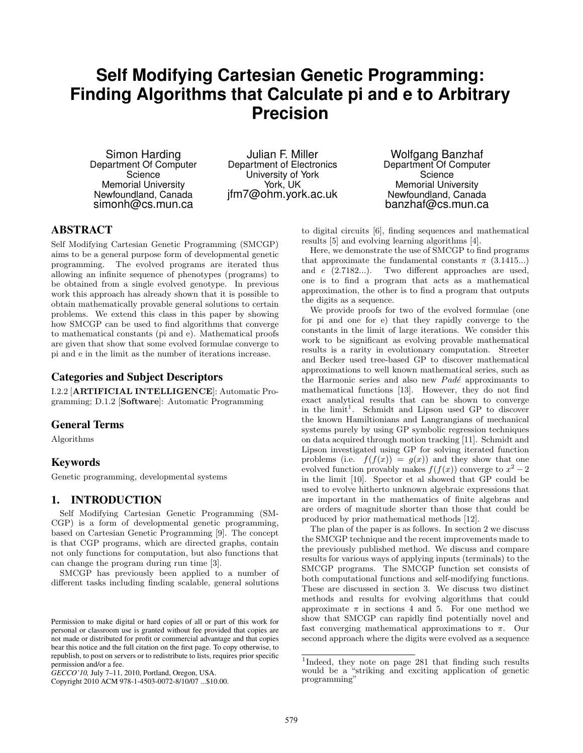# **Self Modifying Cartesian Genetic Programming: Finding Algorithms that Calculate pi and e to Arbitrary Precision**

Simon Harding Department Of Computer Science Memorial University Newfoundland, Canada simonh@cs.mun.ca

Julian F. Miller Department of Electronics University of York York, UK jfm7@ohm.york.ac.uk

Wolfgang Banzhaf Department Of Computer Science Memorial University Newfoundland, Canada banzhaf@cs.mun.ca

# ABSTRACT

Self Modifying Cartesian Genetic Programming (SMCGP) aims to be a general purpose form of developmental genetic programming. The evolved programs are iterated thus allowing an infinite sequence of phenotypes (programs) to be obtained from a single evolved genotype. In previous work this approach has already shown that it is possible to obtain mathematically provable general solutions to certain problems. We extend this class in this paper by showing how SMCGP can be used to find algorithms that converge to mathematical constants (pi and e). Mathematical proofs are given that show that some evolved formulae converge to pi and e in the limit as the number of iterations increase.

# Categories and Subject Descriptors

I.2.2 [**ARTIFICIAL INTELLIGENCE**]: Automatic Programming; D.1.2 [**Software**]: Automatic Programming

## General Terms

Algorithms

# Keywords

Genetic programming, developmental systems

## 1. INTRODUCTION

Self Modifying Cartesian Genetic Programming (SM-CGP) is a form of developmental genetic programming, based on Cartesian Genetic Programming [9]. The concept is that CGP programs, which are directed graphs, contain not only functions for computation, but also functions that can change the program during run time [3].

SMCGP has previously been applied to a number of different tasks including finding scalable, general solutions

Copyright 2010 ACM 978-1-4503-0072-8/10/07 ...\$10.00.

to digital circuits [6], finding sequences and mathematical results [5] and evolving learning algorithms [4].

Here, we demonstrate the use of SMCGP to find programs that approximate the fundamental constants  $\pi$  (3.1415...) and *e* (2.7182...). Two different approaches are used, one is to find a program that acts as a mathematical approximation, the other is to find a program that outputs the digits as a sequence.

We provide proofs for two of the evolved formulae (one for pi and one for e) that they rapidly converge to the constants in the limit of large iterations. We consider this work to be significant as evolving provable mathematical results is a rarity in evolutionary computation. Streeter and Becker used tree-based GP to discover mathematical approximations to well known mathematical series, such as the Harmonic series and also new *Padé* approximants to mathematical functions [13]. However, they do not find exact analytical results that can be shown to converge in the limit<sup>1</sup>. Schmidt and Lipson used GP to discover the known Hamiltionians and Langrangians of mechanical systems purely by using GP symbolic regression techniques on data acquired through motion tracking [11]. Schmidt and Lipson investigated using GP for solving iterated function problems (i.e.  $f(f(x)) = g(x)$ ) and they show that one evolved function provably makes  $f(f(x))$  converge to  $x^2 - 2$ in the limit [10]. Spector et al showed that GP could be used to evolve hitherto unknown algebraic expressions that are important in the mathematics of finite algebras and are orders of magnitude shorter than those that could be produced by prior mathematical methods [12].

The plan of the paper is as follows. In section 2 we discuss the SMCGP technique and the recent improvements made to the previously published method. We discuss and compare results for various ways of applying inputs (terminals) to the SMCGP programs. The SMCGP function set consists of both computational functions and self-modifying functions. These are discussed in section 3. We discuss two distinct methods and results for evolving algorithms that could approximate  $\pi$  in sections 4 and 5. For one method we show that SMCGP can rapidly find potentially novel and fast converging mathematical approximations to *π*. Our second approach where the digits were evolved as a sequence

Permission to make digital or hard copies of all or part of this work for personal or classroom use is granted without fee provided that copies are not made or distributed for profit or commercial advantage and that copies bear this notice and the full citation on the first page. To copy otherwise, to republish, to post on servers or to redistribute to lists, requires prior specific permission and/or a fee.

*GECCO'10,* July 7–11, 2010, Portland, Oregon, USA.

<sup>&</sup>lt;sup>1</sup>Indeed, they note on page 281 that finding such results would be a "striking and exciting application of genetic programming"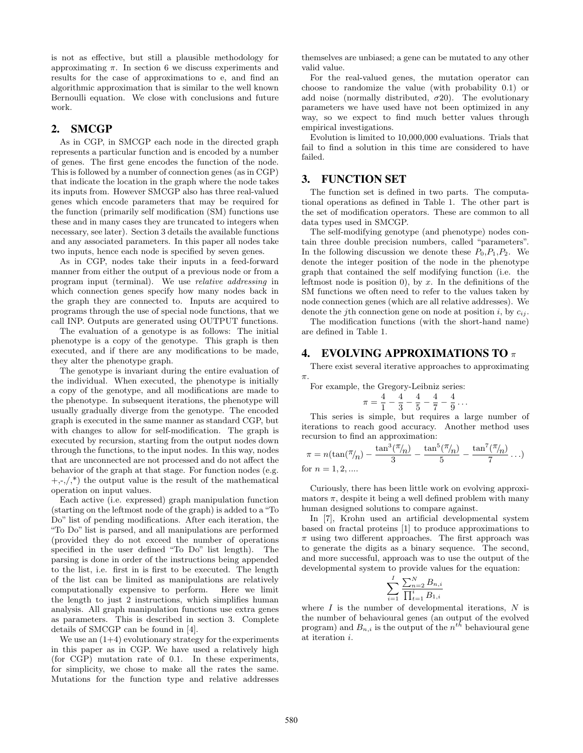is not as effective, but still a plausible methodology for approximating  $\pi$ . In section 6 we discuss experiments and results for the case of approximations to e, and find an algorithmic approximation that is similar to the well known Bernoulli equation. We close with conclusions and future work.

#### 2. SMCGP

As in CGP, in SMCGP each node in the directed graph represents a particular function and is encoded by a number of genes. The first gene encodes the function of the node. This is followed by a number of connection genes (as in CGP) that indicate the location in the graph where the node takes its inputs from. However SMCGP also has three real-valued genes which encode parameters that may be required for the function (primarily self modification (SM) functions use these and in many cases they are truncated to integers when necessary, see later). Section 3 details the available functions and any associated parameters. In this paper all nodes take two inputs, hence each node is specified by seven genes.

As in CGP, nodes take their inputs in a feed-forward manner from either the output of a previous node or from a program input (terminal). We use *relative addressing* in which connection genes specify how many nodes back in the graph they are connected to. Inputs are acquired to programs through the use of special node functions, that we call INP. Outputs are generated using OUTPUT functions.

The evaluation of a genotype is as follows: The initial phenotype is a copy of the genotype. This graph is then executed, and if there are any modifications to be made, they alter the phenotype graph.

The genotype is invariant during the entire evaluation of the individual. When executed, the phenotype is initially a copy of the genotype, and all modifications are made to the phenotype. In subsequent iterations, the phenotype will usually gradually diverge from the genotype. The encoded graph is executed in the same manner as standard CGP, but with changes to allow for self-modification. The graph is executed by recursion, starting from the output nodes down through the functions, to the input nodes. In this way, nodes that are unconnected are not processed and do not affect the behavior of the graph at that stage. For function nodes (e.g.  $+,-$ ,  $\langle$ ,\*) the output value is the result of the mathematical operation on input values.

Each active (i.e. expressed) graph manipulation function (starting on the leftmost node of the graph) is added to a "To Do" list of pending modifications. After each iteration, the "To Do" list is parsed, and all manipulations are performed (provided they do not exceed the number of operations specified in the user defined "To Do" list length). The parsing is done in order of the instructions being appended to the list, i.e. first in is first to be executed. The length of the list can be limited as manipulations are relatively computationally expensive to perform. Here we limit the length to just 2 instructions, which simplifies human analysis. All graph manipulation functions use extra genes as parameters. This is described in section 3. Complete details of SMCGP can be found in [4].

We use an  $(1+4)$  evolutionary strategy for the experiments in this paper as in CGP. We have used a relatively high (for CGP) mutation rate of 0.1. In these experiments, for simplicity, we chose to make all the rates the same. Mutations for the function type and relative addresses themselves are unbiased; a gene can be mutated to any other valid value.

For the real-valued genes, the mutation operator can choose to randomize the value (with probability 0.1) or add noise (normally distributed,  $\sigma$ 20). The evolutionary parameters we have used have not been optimized in any way, so we expect to find much better values through empirical investigations.

Evolution is limited to 10,000,000 evaluations. Trials that fail to find a solution in this time are considered to have failed.

# 3. FUNCTION SET

The function set is defined in two parts. The computational operations as defined in Table 1. The other part is the set of modification operators. These are common to all data types used in SMCGP.

The self-modifying genotype (and phenotype) nodes contain three double precision numbers, called "parameters". In the following discussion we denote these  $P_0, P_1, P_2$ . We denote the integer position of the node in the phenotype graph that contained the self modifying function (i.e. the leftmost node is position 0), by *x*. In the definitions of the SM functions we often need to refer to the values taken by node connection genes (which are all relative addresses). We denote the *j*th connection gene on node at position *i*, by  $c_{ij}$ .

The modification functions (with the short-hand name) are defined in Table 1.

#### 4. EVOLVING APPROXIMATIONS TO *π*

There exist several iterative approaches to approximating *π*.

For example, the Gregory-Leibniz series:

$$
\pi = \frac{4}{1} - \frac{4}{3} - \frac{4}{5} - \frac{4}{7} - \frac{4}{9} \ldots
$$

This series is simple, but requires a large number of iterations to reach good accuracy. Another method uses recursion to find an approximation:

$$
\pi = n(\tan(\pi/n) - \frac{\tan^3(\pi/n)}{3} - \frac{\tan^5(\pi/n)}{5} - \frac{\tan^7(\pi/n)}{7} \dots)
$$
 for  $n = 1, 2, ...$ 

Curiously, there has been little work on evolving approximators  $\pi$ , despite it being a well defined problem with many human designed solutions to compare against.

In [7], Krohn used an artificial developmental system based on fractal proteins [1] to produce approximations to *π* using two different approaches. The first approach was to generate the digits as a binary sequence. The second, and more successful, approach was to use the output of the developmental system to provide values for the equation:

$$
\sum_{i=1}^{I} \frac{\sum_{n=2}^{N} B_{n,i}}{\prod_{t=1}^{i} B_{1,i}}
$$

where *I* is the number of developmental iterations, *N* is the number of behavioural genes (an output of the evolved program) and  $B_{n,i}$  is the output of the  $n^{th}$  behavioural gene at iteration *i*.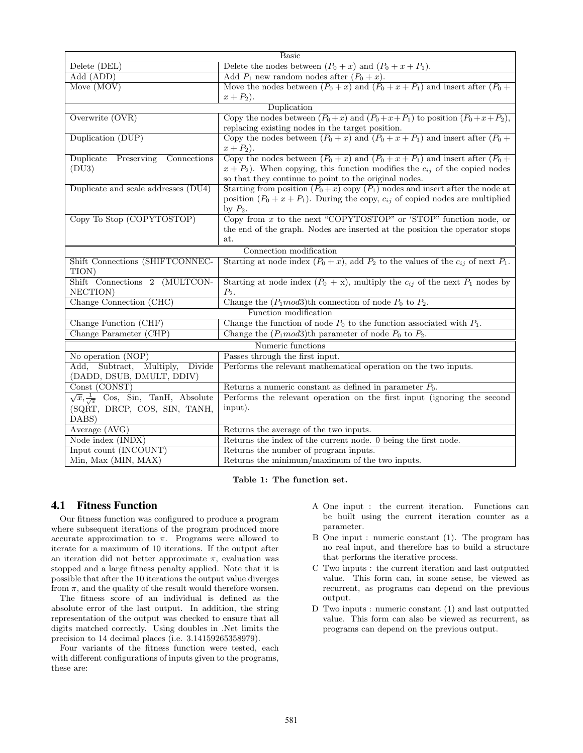| <b>Basic</b>                                            |                                                                                              |  |  |
|---------------------------------------------------------|----------------------------------------------------------------------------------------------|--|--|
| Delete (DEL)                                            | Delete the nodes between $(P_0 + x)$ and $(P_0 + x + P_1)$ .                                 |  |  |
| Add (ADD)                                               | Add $P_1$ new random nodes after $(P_0 + x)$ .                                               |  |  |
| Move (MOV)                                              | Move the nodes between $(P_0 + x)$ and $(P_0 + x + P_1)$ and insert after $(P_0 +$           |  |  |
|                                                         | $x + P_2$ ).                                                                                 |  |  |
|                                                         | Duplication                                                                                  |  |  |
| Overwrite (OVR)                                         | Copy the nodes between $(P_0+x)$ and $(P_0+x+P_1)$ to position $(P_0+x+P_2)$ ,               |  |  |
|                                                         | replacing existing nodes in the target position.                                             |  |  |
| Duplication (DUP)                                       | Copy the nodes between $(P_0 + x)$ and $(P_0 + x + P_1)$ and insert after $(P_0 +$           |  |  |
|                                                         | $x + P_2$ ).                                                                                 |  |  |
| Duplicate<br>Preserving<br>Connections                  | Copy the nodes between $(P_0 + x)$ and $(P_0 + x + P_1)$ and insert after $(P_0 +$           |  |  |
| (DU3)                                                   | $x + P_2$ ). When copying, this function modifies the $c_{ij}$ of the copied nodes           |  |  |
|                                                         | so that they continue to point to the original nodes.                                        |  |  |
| Duplicate and scale addresses (DU4)                     | Starting from position $(P_0 + x)$ copy $(P_1)$ nodes and insert after the node at           |  |  |
|                                                         | position $(P_0 + x + P_1)$ . During the copy, $c_{ij}$ of copied nodes are multiplied        |  |  |
|                                                         | by $P_2$ .                                                                                   |  |  |
| Copy To Stop (COPYTOSTOP)                               | Copy from $x$ to the next "COPYTOSTOP" or 'STOP" function node, or                           |  |  |
|                                                         | the end of the graph. Nodes are inserted at the position the operator stops                  |  |  |
|                                                         | at.                                                                                          |  |  |
|                                                         | Connection modification                                                                      |  |  |
| Shift Connections (SHIFTCONNEC-                         | Starting at node index $(P_0 + x)$ , add $P_2$ to the values of the $c_{ij}$ of next $P_1$ . |  |  |
| TION)                                                   |                                                                                              |  |  |
| Shift Connections 2 (MULTCON-                           | Starting at node index $(P_0 + x)$ , multiply the $c_{ij}$ of the next $P_1$ nodes by        |  |  |
| NECTION)                                                | $P_2.$                                                                                       |  |  |
| Change Connection (CHC)                                 | Change the $(P_1 \text{ mod} 3)$ th connection of node $P_0$ to $P_2$ .                      |  |  |
|                                                         | Function modification                                                                        |  |  |
| Change Function (CHF)                                   | Change the function of node $P_0$ to the function associated with $P_1$ .                    |  |  |
| Change Parameter (CHP)                                  | Change the $(P_1 \text{mod} 3)$ th parameter of node $P_0$ to $P_2$ .                        |  |  |
|                                                         | Numeric functions                                                                            |  |  |
| No operation (NOP)                                      | Passes through the first input.                                                              |  |  |
| Add, Subtract,<br>Multiply, Divide                      | Performs the relevant mathematical operation on the two inputs.                              |  |  |
| (DADD, DSUB, DMULT, DDIV)                               |                                                                                              |  |  |
| Const (CONST)                                           | Returns a numeric constant as defined in parameter $P_0$ .                                   |  |  |
| $\sqrt{x}, \frac{1}{\sqrt{x}}$ Cos, Sin, TanH, Absolute | Performs the relevant operation on the first input (ignoring the second                      |  |  |
| (SQRT, DRCP, COS, SIN, TANH,                            | input).                                                                                      |  |  |
| DABS)                                                   |                                                                                              |  |  |
| Average (AVG)                                           | Returns the average of the two inputs.                                                       |  |  |
| Node index (INDX)                                       | Returns the index of the current node. 0 being the first node.                               |  |  |
| Input count (INCOUNT)                                   | Returns the number of program inputs.                                                        |  |  |
| Min, Max (MIN, MAX)                                     | Returns the minimum/maximum of the two inputs.                                               |  |  |

**Table 1: The function set.**

# 4.1 Fitness Function

Our fitness function was configured to produce a program where subsequent iterations of the program produced more accurate approximation to  $\pi$ . Programs were allowed to iterate for a maximum of 10 iterations. If the output after an iteration did not better approximate *π*, evaluation was stopped and a large fitness penalty applied. Note that it is possible that after the 10 iterations the output value diverges from  $\pi$ , and the quality of the result would therefore worsen.

The fitness score of an individual is defined as the absolute error of the last output. In addition, the string representation of the output was checked to ensure that all digits matched correctly. Using doubles in .Net limits the precision to 14 decimal places (i.e. 3.14159265358979).

Four variants of the fitness function were tested, each with different configurations of inputs given to the programs, these are:

- A One input : the current iteration. Functions can be built using the current iteration counter as a parameter.
- B One input : numeric constant (1). The program has no real input, and therefore has to build a structure that performs the iterative process.
- C Two inputs : the current iteration and last outputted value. This form can, in some sense, be viewed as recurrent, as programs can depend on the previous output.
- D Two inputs : numeric constant (1) and last outputted value. This form can also be viewed as recurrent, as programs can depend on the previous output.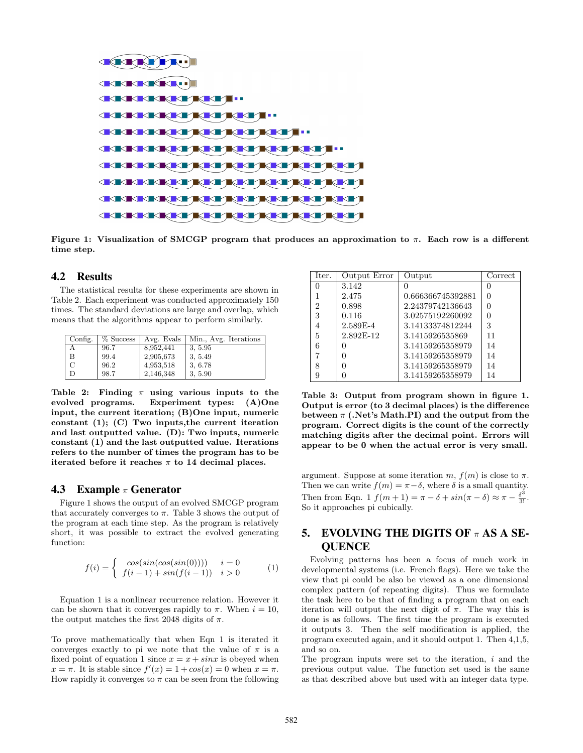

**Figure 1: Visualization of SMCGP program that produces an approximation to** *π***. Each row is a different time step.**

## 4.2 Results

The statistical results for these experiments are shown in Table 2. Each experiment was conducted approximately 150 times. The standard deviations are large and overlap, which means that the algorithms appear to perform similarly.

| Config. | % Success | Avg. Evals | Min., Avg. Iterations |
|---------|-----------|------------|-----------------------|
| А       | 96.7      | 8,952,441  | 3, 5.95               |
| B       | 99.4      | 2,905,673  | 3, 5.49               |
| С       | 96.2      | 4,953,518  | 3, 6.78               |
| D       | 98.7      | 2,146,348  | 3, 5.90               |

**Table 2: Finding** *π* **using various inputs to the evolved programs. Experiment types: (A)One input, the current iteration; (B)One input, numeric constant (1); (C) Two inputs,the current iteration and last outputted value. (D): Two inputs, numeric constant (1) and the last outputted value. Iterations refers to the number of times the program has to be iterated before it reaches** *π* **to 14 decimal places.**

#### 4.3 Example *π* Generator

Figure 1 shows the output of an evolved SMCGP program that accurately converges to  $\pi$ . Table 3 shows the output of the program at each time step. As the program is relatively short, it was possible to extract the evolved generating function:

$$
f(i) = \begin{cases} \cos(\sin(\cos(\sin(0)))) & i = 0\\ f(i-1) + \sin(f(i-1)) & i > 0 \end{cases}
$$
 (1)

Equation 1 is a nonlinear recurrence relation. However it can be shown that it converges rapidly to  $\pi$ . When  $i = 10$ , the output matches the first 2048 digits of  $\pi$ .

To prove mathematically that when Eqn 1 is iterated it converges exactly to pi we note that the value of  $\pi$  is a fixed point of equation 1 since  $x = x + \sin x$  is obeyed when  $x = \pi$ . It is stable since  $f'(x) = 1 + \cos(x) = 0$  when  $x = \pi$ . How rapidly it converges to  $\pi$  can be seen from the following

| Iter. | Output Error | Output            | Correct |
|-------|--------------|-------------------|---------|
|       | 3.142        |                   |         |
|       | 2.475        | 0.666366745392881 |         |
| 2     | 0.898        | 2.24379742136643  |         |
| 3     | 0.116        | 3.02575192260092  |         |
| 4     | 2.589E-4     | 3.14133374812244  | 3       |
| 5     | 2.892F-12    | 3.1415926535869   | 11      |
| 6     | 0            | 3.14159265358979  | 14      |
|       | $\mathbf{0}$ | 3.14159265358979  | 14      |
| 8     |              | 3.14159265358979  | 14      |
| 9     |              | 3.14159265358979  | 14      |

**Table 3: Output from program shown in figure 1. Output is error (to 3 decimal places) is the difference between** *π* **(.Net's Math.PI) and the output from the program. Correct digits is the count of the correctly matching digits after the decimal point. Errors will appear to be 0 when the actual error is very small.**

argument. Suppose at some iteration  $m, f(m)$  is close to  $\pi$ . Then we can write  $f(m) = \pi - \delta$ , where  $\delta$  is a small quantity. Then from Eqn. 1  $f(m+1) = \pi - \delta + \sin(\pi - \delta) \approx \pi - \frac{\delta^3}{3!}$ . So it approaches pi cubically.

# 5. EVOLVING THE DIGITS OF *π* AS A SE-**OUENCE**

Evolving patterns has been a focus of much work in developmental systems (i.e. French flags). Here we take the view that pi could be also be viewed as a one dimensional complex pattern (of repeating digits). Thus we formulate the task here to be that of finding a program that on each iteration will output the next digit of  $\pi$ . The way this is done is as follows. The first time the program is executed it outputs 3. Then the self modification is applied, the program executed again, and it should output 1. Then 4,1,5, and so on.

The program inputs were set to the iteration, *i* and the previous output value. The function set used is the same as that described above but used with an integer data type.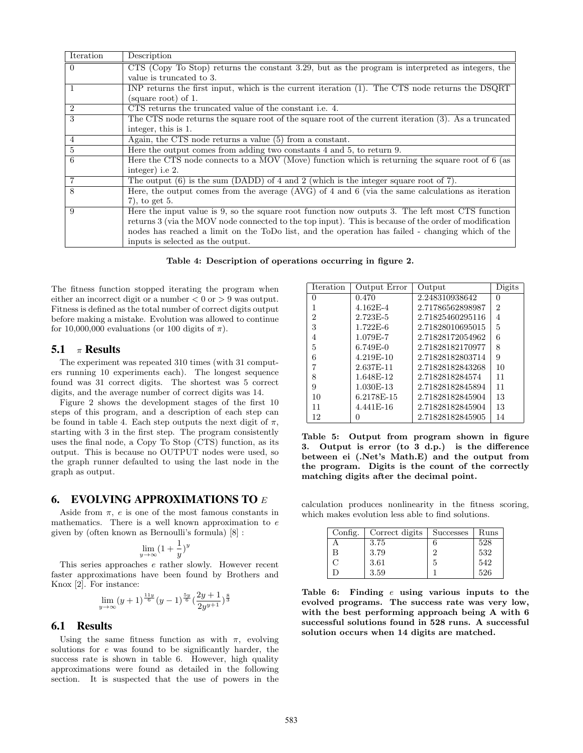| Iteration      | Description                                                                                           |
|----------------|-------------------------------------------------------------------------------------------------------|
| $\Omega$       | $CTS$ (Copy To Stop) returns the constant 3.29, but as the program is interpreted as integers, the    |
|                | value is truncated to 3.                                                                              |
| 1              | INP returns the first input, which is the current iteration (1). The CTS node returns the DSQRT       |
|                | (square root) of 1.                                                                                   |
| $\overline{2}$ | CTS returns the truncated value of the constant <i>i.e.</i> 4.                                        |
| 3              | The CTS node returns the square root of the square root of the current iteration (3). As a truncated  |
|                | integer, this is 1.                                                                                   |
| 4              | Again, the CTS node returns a value (5) from a constant.                                              |
| $\mathbf{5}$   | Here the output comes from adding two constants 4 and 5, to return 9.                                 |
| 6              | Here the CTS node connects to a MOV (Move) function which is returning the square root of 6 (as       |
|                | integer) i.e 2.                                                                                       |
|                | The output $(6)$ is the sum (DADD) of 4 and 2 (which is the integer square root of 7).                |
| 8              | Here, the output comes from the average $(AVG)$ of 4 and 6 (via the same calculations as iteration    |
|                | $(7)$ , to get 5.                                                                                     |
| 9              | Here the input value is 9, so the square root function now outputs 3. The left most CTS function      |
|                | returns 3 (via the MOV node connected to the top input). This is because of the order of modification |
|                | nodes has reached a limit on the ToDo list, and the operation has failed - changing which of the      |
|                | inputs is selected as the output.                                                                     |

**Table 4: Description of operations occurring in figure 2.**

The fitness function stopped iterating the program when either an incorrect digit or a number  $< 0$  or  $> 9$  was output. Fitness is defined as the total number of correct digits output before making a mistake. Evolution was allowed to continue for 10,000,000 evaluations (or 100 digits of  $\pi$ ).

#### 5.1 *π* Results

The experiment was repeated 310 times (with 31 computers running 10 experiments each). The longest sequence found was 31 correct digits. The shortest was 5 correct digits, and the average number of correct digits was 14.

Figure 2 shows the development stages of the first 10 steps of this program, and a description of each step can be found in table 4. Each step outputs the next digit of  $\pi$ , starting with 3 in the first step. The program consistently uses the final node, a Copy To Stop (CTS) function, as its output. This is because no OUTPUT nodes were used, so the graph runner defaulted to using the last node in the graph as output.

#### 6. EVOLVING APPROXIMATIONS TO *E*

Aside from  $\pi$ , *e* is one of the most famous constants in mathematics. There is a well known approximation to *e* given by (often known as Bernoulli's formula) [8] :

$$
\lim_{y \to \infty} (1 + \frac{1}{y})^y
$$

This series approaches *e* rather slowly. However recent faster approximations have been found by Brothers and Knox [2]. For instance:

$$
\lim_{y \to \infty} (y+1)^{\frac{11y}{6}} (y-1)^{\frac{5y}{6}} \left(\frac{2y+1}{2y^{y+1}}\right)^{\frac{8}{3}}
$$

#### 6.1 Results

Using the same fitness function as with  $\pi$ , evolving solutions for *e* was found to be significantly harder, the success rate is shown in table 6. However, high quality approximations were found as detailed in the following section. It is suspected that the use of powers in the

| Iteration      | Output Error | Output           | Digits   |
|----------------|--------------|------------------|----------|
| 0              | 0.470        | 2.248310938642   | $\theta$ |
|                | $4.162E - 4$ | 2.71786562898987 | 2        |
| $\overline{2}$ | 2.723E-5     | 2.71825460295116 | 4        |
| 3              | $1.722E-6$   | 2.71828010695015 | 5        |
| 4              | 1.079E-7     | 2.71828172054962 | 6        |
| 5              | $6.749E-0$   | 2.71828182170977 | 8        |
| 6              | 4.219E-10    | 2.71828182803714 | 9        |
|                | 2.637E-11    | 2.71828182843268 | 10       |
| 8              | 1.648E-12    | 2.7182818284574  | 11       |
| 9              | 1.030E-13    | 2.71828182845894 | 11       |
| 10             | 6.2178E-15   | 2.71828182845904 | 13       |
| 11             | 4.441E-16    | 2.71828182845904 | 13       |
| 12             |              | 2.71828182845905 | 14       |

**Table 5: Output from program shown in figure 3. Output is error (to 3 d.p.) is the difference between ei (.Net's Math.E) and the output from the program. Digits is the count of the correctly matching digits after the decimal point.**

calculation produces nonlinearity in the fitness scoring, which makes evolution less able to find solutions.

| Config. | Correct digits | Successes | Runs |
|---------|----------------|-----------|------|
|         | 3.75           | 6         | 528  |
| B       | 3.79           | ച         | 532  |
| $\cap$  | 3.61           | 5         | 542  |
|         | 3.59           |           | 526  |

**Table 6: Finding** *e* **using various inputs to the evolved programs. The success rate was very low, with the best performing approach being A with 6 successful solutions found in 528 runs. A successful solution occurs when 14 digits are matched.**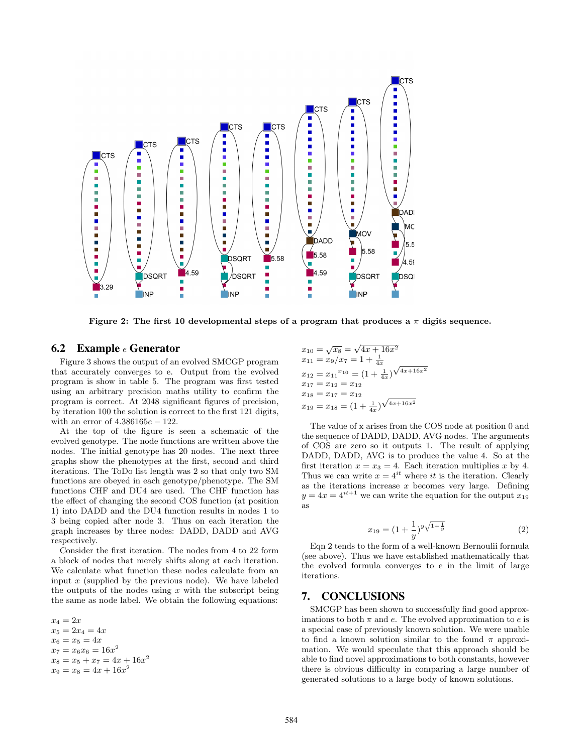

**Figure 2: The first 10 developmental steps of a program that produces a** *π* **digits sequence.**

#### 6.2 Example *e* Generator

Figure 3 shows the output of an evolved SMCGP program that accurately converges to e. Output from the evolved program is show in table 5. The program was first tested using an arbitrary precision maths utility to confirm the program is correct. At 2048 significant figures of precision, by iteration 100 the solution is correct to the first 121 digits, with an error of 4*.*386165*e −* 122.

At the top of the figure is seen a schematic of the evolved genotype. The node functions are written above the nodes. The initial genotype has 20 nodes. The next three graphs show the phenotypes at the first, second and third iterations. The ToDo list length was 2 so that only two SM functions are obeyed in each genotype/phenotype. The SM functions CHF and DU4 are used. The CHF function has the effect of changing the second COS function (at position 1) into DADD and the DU4 function results in nodes 1 to 3 being copied after node 3. Thus on each iteration the graph increases by three nodes: DADD, DADD and AVG respectively.

Consider the first iteration. The nodes from 4 to 22 form a block of nodes that merely shifts along at each iteration. We calculate what function these nodes calculate from an input *x* (supplied by the previous node). We have labeled the outputs of the nodes using *x* with the subscript being the same as node label. We obtain the following equations:

 $x_4 = 2x$  $x_5 = 2x_4 = 4x$  $x_6 = x_5 = 4x$  $x_7 = x_6x_6 = 16x^2$  $x_8 = x_5 + x_7 = 4x + 16x^2$  $x_9 = x_8 = 4x + 16x^2$ 

$$
x_{10} = \sqrt{x_8} = \sqrt{4x + 16x^2}
$$
  
\n
$$
x_{11} = x_9/x_7 = 1 + \frac{1}{4x}
$$
  
\n
$$
x_{12} = x_{11}^{x_{10}} = (1 + \frac{1}{4x})^{\sqrt{4x + 16x^2}}
$$
  
\n
$$
x_{17} = x_{12} = x_{12}
$$
  
\n
$$
x_{18} = x_{17} = x_{12}
$$
  
\n
$$
x_{19} = x_{18} = (1 + \frac{1}{4x})^{\sqrt{4x + 16x^2}}
$$

The value of x arises from the COS node at position 0 and the sequence of DADD, DADD, AVG nodes. The arguments of COS are zero so it outputs 1. The result of applying DADD, DADD, AVG is to produce the value 4. So at the first iteration  $x = x_3 = 4$ . Each iteration multiplies x by 4. Thus we can write  $x = 4^{it}$  where *it* is the iteration. Clearly as the iterations increase *x* becomes very large. Defining  $y = 4x = 4^{it+1}$  we can write the equation for the output  $x_{19}$ as

$$
x_{19} = (1 + \frac{1}{y})^y \sqrt{1 + \frac{1}{y}}
$$
 (2)

Eqn 2 tends to the form of a well-known Bernoulii formula (see above). Thus we have established mathematically that the evolved formula converges to e in the limit of large iterations.

## 7. CONCLUSIONS

SMCGP has been shown to successfully find good approximations to both  $\pi$  and  $e$ . The evolved approximation to  $e$  is a special case of previously known solution. We were unable to find a known solution similar to the found  $\pi$  approximation. We would speculate that this approach should be able to find novel approximations to both constants, however there is obvious difficulty in comparing a large number of generated solutions to a large body of known solutions.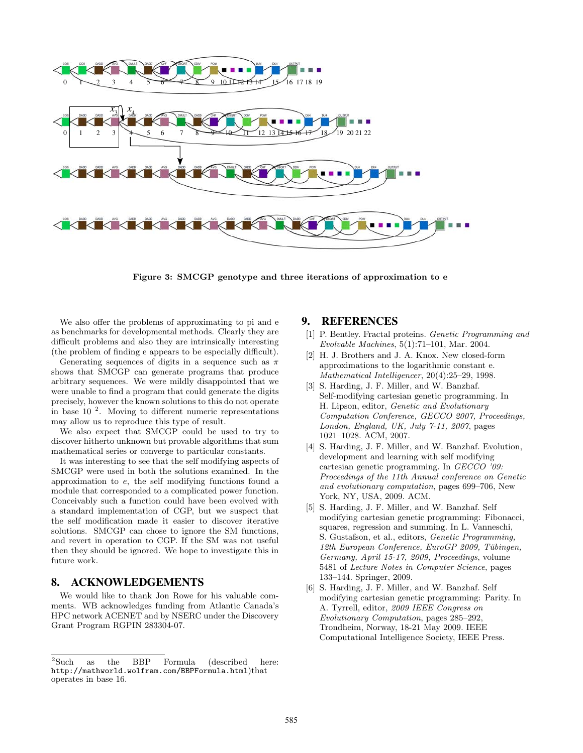

**Figure 3: SMCGP genotype and three iterations of approximation to e**

We also offer the problems of approximating to pi and e as benchmarks for developmental methods. Clearly they are difficult problems and also they are intrinsically interesting (the problem of finding e appears to be especially difficult).

Generating sequences of digits in a sequence such as *π* shows that SMCGP can generate programs that produce arbitrary sequences. We were mildly disappointed that we were unable to find a program that could generate the digits precisely, however the known solutions to this do not operate in base  $10^{-2}$ . Moving to different numeric representations may allow us to reproduce this type of result.

We also expect that SMCGP could be used to try to discover hitherto unknown but provable algorithms that sum mathematical series or converge to particular constants.

It was interesting to see that the self modifying aspects of SMCGP were used in both the solutions examined. In the approximation to *e*, the self modifying functions found a module that corresponded to a complicated power function. Conceivably such a function could have been evolved with a standard implementation of CGP, but we suspect that the self modification made it easier to discover iterative solutions. SMCGP can chose to ignore the SM functions, and revert in operation to CGP. If the SM was not useful then they should be ignored. We hope to investigate this in future work.

## 8. ACKNOWLEDGEMENTS

We would like to thank Jon Rowe for his valuable comments. WB acknowledges funding from Atlantic Canada's HPC network ACENET and by NSERC under the Discovery Grant Program RGPIN 283304-07.

## 9. REFERENCES

- [1] P. Bentley. Fractal proteins. *Genetic Programming and Evolvable Machines*, 5(1):71–101, Mar. 2004.
- [2] H. J. Brothers and J. A. Knox. New closed-form approximations to the logarithmic constant e. *Mathematical Intelligencer*, 20(4):25–29, 1998.
- [3] S. Harding, J. F. Miller, and W. Banzhaf. Self-modifying cartesian genetic programming. In H. Lipson, editor, *Genetic and Evolutionary Computation Conference, GECCO 2007, Proceedings, London, England, UK, July 7-11, 2007*, pages 1021–1028. ACM, 2007.
- [4] S. Harding, J. F. Miller, and W. Banzhaf. Evolution, development and learning with self modifying cartesian genetic programming. In *GECCO '09: Proceedings of the 11th Annual conference on Genetic and evolutionary computation*, pages 699–706, New York, NY, USA, 2009. ACM.
- [5] S. Harding, J. F. Miller, and W. Banzhaf. Self modifying cartesian genetic programming: Fibonacci, squares, regression and summing. In L. Vanneschi, S. Gustafson, et al., editors, *Genetic Programming,* 12th European Conference, EuroGP 2009, Tübingen, *Germany, April 15-17, 2009, Proceedings*, volume 5481 of *Lecture Notes in Computer Science*, pages 133–144. Springer, 2009.
- [6] S. Harding, J. F. Miller, and W. Banzhaf. Self modifying cartesian genetic programming: Parity. In A. Tyrrell, editor, *2009 IEEE Congress on Evolutionary Computation*, pages 285–292, Trondheim, Norway, 18-21 May 2009. IEEE Computational Intelligence Society, IEEE Press.

<sup>&</sup>lt;sup>2</sup>Such as the BBP Formula (described here: http://mathworld.wolfram.com/BBPFormula.html)that operates in base 16.